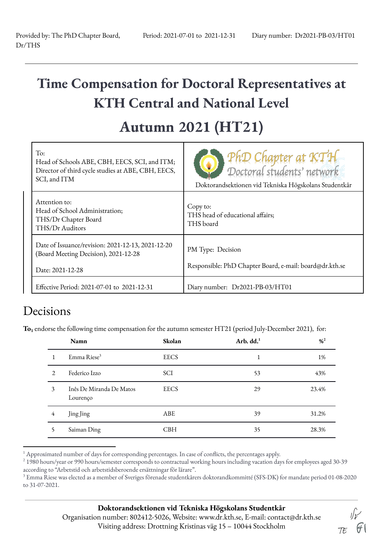## **Time Compensation for Doctoral Representatives at KTH Central and National Level**

## **Autumn 2021 (HT21)**

| To:<br>Head of Schools ABE, CBH, EECS, SCI, and ITM;<br>Director of third cycle studies at ABE, CBH, EECS,<br>SCI, and ITM | PhD Chapter at KTH<br>Doctoral students' network<br>Doktorandsektionen vid Tekniska Högskolans Studentkår |
|----------------------------------------------------------------------------------------------------------------------------|-----------------------------------------------------------------------------------------------------------|
| Attention to:<br>Head of School Administration;<br>THS/Dr Chapter Board<br>THS/Dr Auditors                                 | Copy to:<br>THS head of educational affairs;<br>THS board                                                 |
| Date of Issuance/revision: 2021-12-13, 2021-12-20<br>(Board Meeting Decision), 2021-12-28<br>Date: 2021-12-28              | PM Type: Decision<br>Responsible: PhD Chapter Board, e-mail: board@dr.kth.se                              |
| Effective Period: 2021-07-01 to 2021-12-31                                                                                 | Diary number: Dr2021-PB-03/HT01                                                                           |

## Decisions

To<sub>1</sub> endorse the following time compensation for the autumn semester HT21 (period July-December 2021), for:

|              | Namn                                 | Skolan      | Arb. $dd1$ | $\frac{9}{6}$ <sup>2</sup> |
|--------------|--------------------------------------|-------------|------------|----------------------------|
|              | Emma Riese <sup>3</sup>              | <b>EECS</b> | 1<br>⊥     | 1%                         |
| 2            | Federico Izzo                        | SCI         | 53         | 43%                        |
| 3            | Inês De Miranda De Matos<br>Lourenço | <b>EECS</b> | 29         | 23.4%                      |
| 4            | Jing Jing                            | ABE         | 39         | 31.2%                      |
| $\mathsf{S}$ | Saiman Ding                          | <b>CBH</b>  | 35         | 28.3%                      |

 $1$  Approximated number of days for corresponding percentages. In case of conflicts, the percentages apply.

 $TE$   $G$ 

<sup>&</sup>lt;sup>2</sup> 1980 hours/year or 990 hours/semester corresponds to contractual working hours including vacation days for employees aged 30-39 according to "Arbetstid och arbetstidsberoende ersättningar för lärare".

<sup>3</sup> Emma Riese was elected as a member of Sveriges förenade studentkårers doktorandkommitté (SFS-DK) for mandate period 01-08-2020 to 31-07-2021.